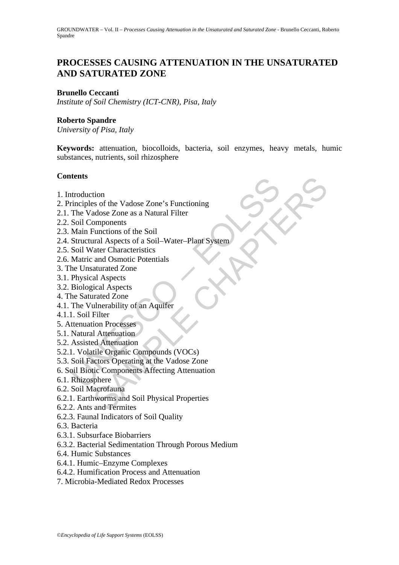# **PROCESSES CAUSING ATTENUATION IN THE UNSATURATED AND SATURATED ZONE**

#### **Brunello Ceccanti**

*Institute of Soil Chemistry (ICT-CNR), Pisa, Italy* 

#### **Roberto Spandre**

*University of Pisa, Italy* 

**Keywords:** attenuation, biocolloids, bacteria, soil enzymes, heavy metals, humic substances, nutrients, soil rhizosphere

### **Contents**

- 1. Introduction
- 2. Principles of the Vadose Zone's Functioning
- 2.1. The Vadose Zone as a Natural Filter
- 2.2. Soil Components
- 2.3. Main Functions of the Soil
- ntroduction<br>
inciples of the Vadose Zone's Functioning<br>
The Vadose Zone as a Natural Filter<br>
Soil Components<br>
Main Functions of the Soil<br>
Structural Aspects of a Soil-Water-Plant System<br>
Soil Water Characteristics<br>
Matric tion<br>
sis of the Vadose Zone's Functioning<br>
addose Zone as a Natural Filter<br>
components<br>
Functions of the Soil<br>
ural Aspects of a Soil-Water-Plant System<br>
and Osmotic Potentials<br>
aturated Zone<br>
al Aspects<br>
irical Aspects<br> 2.4. Structural Aspects of a Soil–Water–Plant System
- 2.5. Soil Water Characteristics
- 2.6. Matric and Osmotic Potentials
- 3. The Unsaturated Zone
- 3.1. Physical Aspects
- 3.2. Biological Aspects
- 4. The Saturated Zone
- 4.1. The Vulnerability of an Aquifer
- 4.1.1. Soil Filter
- 5. Attenuation Processes
- 5.1. Natural Attenuation
- 5.2. Assisted Attenuation
- 5.2.1. Volatile Organic Compounds (VOCs)
- 5.3. Soil Factors Operating at the Vadose Zone
- 6. Soil Biotic Components Affecting Attenuation
- 6.1. Rhizosphere
- 6.2. Soil Macrofauna
- 6.2.1. Earthworms and Soil Physical Properties
- 6.2.2. Ants and Termites
- 6.2.3. Faunal Indicators of Soil Quality
- 6.3. Bacteria
- 6.3.1. Subsurface Biobarriers
- 6.3.2. Bacterial Sedimentation Through Porous Medium
- 6.4. Humic Substances
- 6.4.1. Humic–Enzyme Complexes
- 6.4.2. Humification Process and Attenuation
- 7. Microbia-Mediated Redox Processes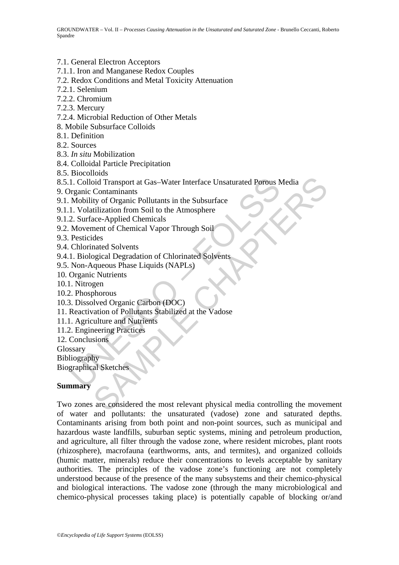#### 7.1. General Electron Acceptors

- 7.1.1. Iron and Manganese Redox Couples
- 7.2. Redox Conditions and Metal Toxicity Attenuation
- 7.2.1. Selenium
- 7.2.2. Chromium
- 7.2.3. Mercury
- 7.2.4. Microbial Reduction of Other Metals
- 8. Mobile Subsurface Colloids
- 8.1. Definition
- 8.2. Sources
- 8.3. *In situ* Mobilization
- 8.4. Colloidal Particle Precipitation
- 8.5. Biocolloids
- 1. Colloid Transport at Gas-Water Interface Unsaturated Porous Neganic Contaminants<br>
Mobility of Organic Pollutants in the Subsurface<br>
1. Volatilization from Soil to the Atmosphere<br>
2. Surface-Applied Chemical Vapor Throug 8.5.1. Colloid Transport at Gas–Water Interface Unsaturated Porous Media
- 9. Organic Contaminants
- 9.1. Mobility of Organic Pollutants in the Subsurface
- 9.1.1. Volatilization from Soil to the Atmosphere
- 9.1.2. Surface-Applied Chemicals
- 9.2. Movement of Chemical Vapor Through Soil
- 9.3. Pesticides
- 9.4. Chlorinated Solvents
- 9.4.1. Biological Degradation of Chlorinated Solvents
- 9.5. Non-Aqueous Phase Liquids (NAPLs)
- 10. Organic Nutrients
- 10.1. Nitrogen
- 10.2. Phosphorous
- 10.3. Dissolved Organic Carbon (DOC)
- 11. Reactivation of Pollutants Stabilized at the Vadose
- 11.1. Agriculture and Nutrients
- 11.2. Engineering Practices
- 12. Conclusions
- Glossary
- Bibliography
- Biographical Sketches

#### **Summary**

Contaminants<br>
Contaminants<br>
Contaminants<br>
Contaminants<br>
Contaminants<br>
Corrections Follutants in the Subsurface<br>
des<br>
dilization from Soil to the Atmosphere<br>
acc-Applied Chemicals<br>
exec-Applied Chemicals<br>
cated Solvents<br>
ca Two zones are considered the most relevant physical media controlling the movement of water and pollutants: the unsaturated (vadose) zone and saturated depths. Contaminants arising from both point and non-point sources, such as municipal and hazardous waste landfills, suburban septic systems, mining and petroleum production, and agriculture, all filter through the vadose zone, where resident microbes, plant roots (rhizosphere), macrofauna (earthworms, ants, and termites), and organized colloids (humic matter, minerals) reduce their concentrations to levels acceptable by sanitary authorities. The principles of the vadose zone's functioning are not completely understood because of the presence of the many subsystems and their chemico-physical and biological interactions. The vadose zone (through the many microbiological and chemico-physical processes taking place) is potentially capable of blocking or/and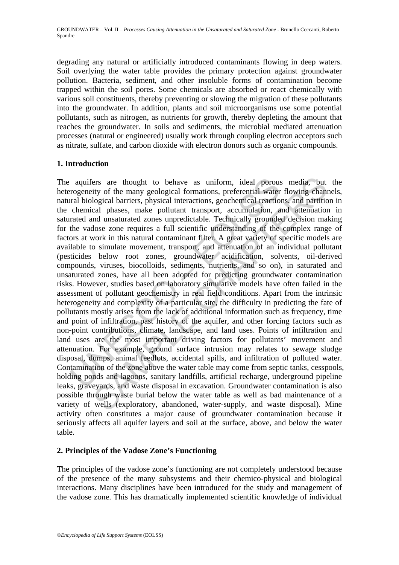degrading any natural or artificially introduced contaminants flowing in deep waters. Soil overlying the water table provides the primary protection against groundwater pollution. Bacteria, sediment, and other insoluble forms of contamination become trapped within the soil pores. Some chemicals are absorbed or react chemically with various soil constituents, thereby preventing or slowing the migration of these pollutants into the groundwater. In addition, plants and soil microorganisms use some potential pollutants, such as nitrogen, as nutrients for growth, thereby depleting the amount that reaches the groundwater. In soils and sediments, the microbial mediated attenuation processes (natural or engineered) usually work through coupling electron acceptors such as nitrate, sulfate, and carbon dioxide with electron donors such as organic compounds.

## **1. Introduction**

aquifers are thought to behave as uniform, ideal porous<br>rogeneity of the many geological formations, preferential water<br>ral biological barriers, physical interactions, geochemical reactio<br>chemical phases, make pollutant tr iers are thought to behave as uniform, ideal porous media, but<br>tiy of the many geological formations, preferential water flowing chan<br>logical barriers, physical interactions, geochemical reactions, and partitic<br>cal phases, The aquifers are thought to behave as uniform, ideal porous media, but the heterogeneity of the many geological formations, preferential water flowing channels, natural biological barriers, physical interactions, geochemical reactions, and partition in the chemical phases, make pollutant transport, accumulation, and attenuation in saturated and unsaturated zones unpredictable. Technically grounded decision making for the vadose zone requires a full scientific understanding of the complex range of factors at work in this natural contaminant filter. A great variety of specific models are available to simulate movement, transport, and attenuation of an individual pollutant (pesticides below root zones, groundwater acidification, solvents, oil-derived compounds, viruses, biocolloids, sediments, nutrients, and so on), in saturated and unsaturated zones, have all been adopted for predicting groundwater contamination risks. However, studies based on laboratory simulative models have often failed in the assessment of pollutant geochemistry in real field conditions. Apart from the intrinsic heterogeneity and complexity of a particular site, the difficulty in predicting the fate of pollutants mostly arises from the lack of additional information such as frequency, time and point of infiltration, past history of the aquifer, and other forcing factors such as non-point contributions, climate, landscape, and land uses. Points of infiltration and land uses are the most important driving factors for pollutants' movement and attenuation. For example, ground surface intrusion may relates to sewage sludge disposal, dumps, animal feedlots, accidental spills, and infiltration of polluted water. Contamination of the zone above the water table may come from septic tanks, cesspools, holding ponds and lagoons, sanitary landfills, artificial recharge, underground pipeline leaks, graveyards, and waste disposal in excavation. Groundwater contamination is also possible through waste burial below the water table as well as bad maintenance of a variety of wells (exploratory, abandoned, water-supply, and waste disposal). Mine activity often constitutes a major cause of groundwater contamination because it seriously affects all aquifer layers and soil at the surface, above, and below the water table.

## **2. Principles of the Vadose Zone's Functioning**

The principles of the vadose zone's functioning are not completely understood because of the presence of the many subsystems and their chemico-physical and biological interactions. Many disciplines have been introduced for the study and management of the vadose zone. This has dramatically implemented scientific knowledge of individual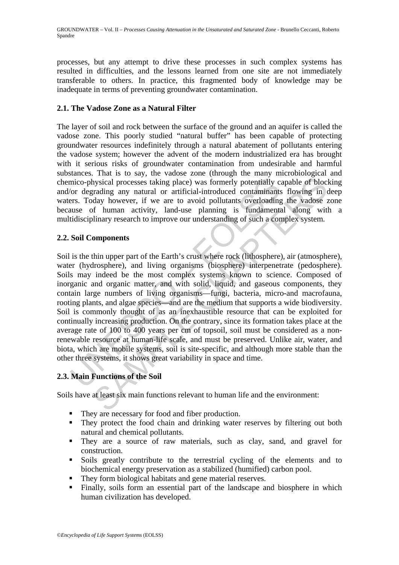processes, but any attempt to drive these processes in such complex systems has resulted in difficulties, and the lessons learned from one site are not immediately transferable to others. In practice, this fragmented body of knowledge may be inadequate in terms of preventing groundwater contamination.

## **2.1. The Vadose Zone as a Natural Filter**

The layer of soil and rock between the surface of the ground and an aquifer is called the vadose zone. This poorly studied "natural buffer" has been capable of protecting groundwater resources indefinitely through a natural abatement of pollutants entering the vadose system; however the advent of the modern industrialized era has brought with it serious risks of groundwater contamination from undesirable and harmful substances. That is to say, the vadose zone (through the many microbiological and chemico-physical processes taking place) was formerly potentially capable of blocking and/or degrading any natural or artificial-introduced contaminants flowing in deep waters. Today however, if we are to avoid pollutants overloading the vadose zone because of human activity, land-use planning is fundamental along with a multidisciplinary research to improve our understanding of such a complex system.

## **2.2. Soil Components**

mico-physical processes taking place) was formerly potentially c<br>
or degrading any natural or artificial-introduced contaminants<br>
rs. Today however, if we are to avoid pollutants overloading<br>
use of human activity, land-us invisical processes taking place) was formerly potentially capable of block<br>mading any natural or artificial-introduced contaminants flowing in (a<br>day however, if we are to avoid pollutants overloading the vadors of<br>day wi Soil is the thin upper part of the Earth's crust where rock (lithosphere), air (atmosphere), water (hydrosphere), and living organisms (biosphere) interpenetrate (pedosphere). Soils may indeed be the most complex systems known to science. Composed of inorganic and organic matter, and with solid, liquid, and gaseous components, they contain large numbers of living organisms—fungi, bacteria, micro-and macrofauna, rooting plants, and algae species—and are the medium that supports a wide biodiversity. Soil is commonly thought of as an inexhaustible resource that can be exploited for continually increasing production. On the contrary, since its formation takes place at the average rate of 100 to 400 years per cm of topsoil, soil must be considered as a nonrenewable resource at human-life scale, and must be preserved. Unlike air, water, and biota, which are mobile systems, soil is site-specific, and although more stable than the other three systems, it shows great variability in space and time.

# **2.3. Main Functions of the Soil**

Soils have at least six main functions relevant to human life and the environment:

- They are necessary for food and fiber production.
- They protect the food chain and drinking water reserves by filtering out both natural and chemical pollutants.
- They are a source of raw materials, such as clay, sand, and gravel for construction.
- Soils greatly contribute to the terrestrial cycling of the elements and to biochemical energy preservation as a stabilized (humified) carbon pool.
- They form biological habitats and gene material reserves.
- Finally, soils form an essential part of the landscape and biosphere in which human civilization has developed.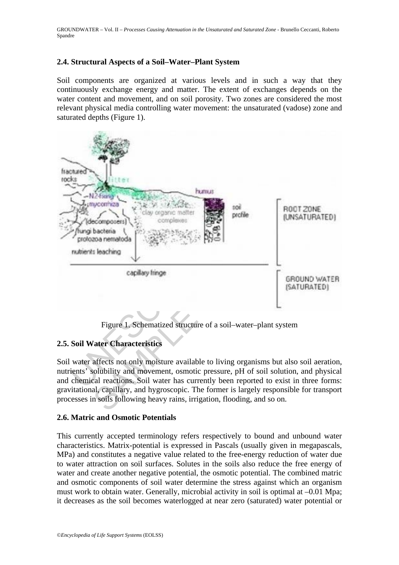### **2.4. Structural Aspects of a Soil–Water–Plant System**

Soil components are organized at various levels and in such a way that they continuously exchange energy and matter. The extent of exchanges depends on the water content and movement, and on soil porosity. Two zones are considered the most relevant physical media controlling water movement: the unsaturated (vadose) zone and saturated depths (Figure 1).



Figure 1. Schematized structure of a soil–water–plant system

## **2.5. Soil Water Characteristics**

Soil water affects not only moisture available to living organisms but also soil aeration, nutrients' solubility and movement, osmotic pressure, pH of soil solution, and physical and chemical reactions. Soil water has currently been reported to exist in three forms: gravitational, capillary, and hygroscopic. The former is largely responsible for transport processes in soils following heavy rains, irrigation, flooding, and so on.

#### **2.6. Matric and Osmotic Potentials**

This currently accepted terminology refers respectively to bound and unbound water characteristics. Matrix-potential is expressed in Pascals (usually given in megapascals, MPa) and constitutes a negative value related to the free-energy reduction of water due to water attraction on soil surfaces. Solutes in the soils also reduce the free energy of water and create another negative potential, the osmotic potential. The combined matric and osmotic components of soil water determine the stress against which an organism must work to obtain water. Generally, microbial activity in soil is optimal at –0.01 Mpa; it decreases as the soil becomes waterlogged at near zero (saturated) water potential or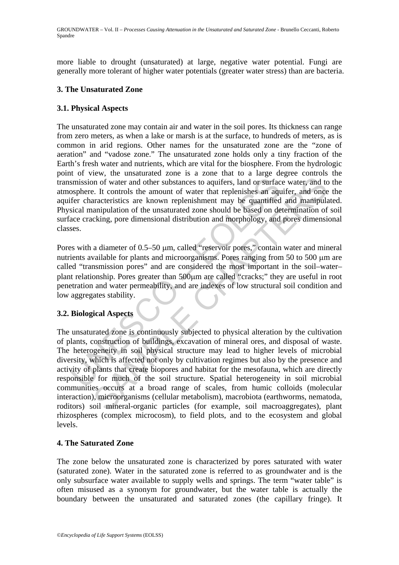more liable to drought (unsaturated) at large, negative water potential. Fungi are generally more tolerant of higher water potentials (greater water stress) than are bacteria.

#### **3. The Unsaturated Zone**

### **3.1. Physical Aspects**

The unsaturated zone may contain air and water in the soil pores. Its thickness can range from zero meters, as when a lake or marsh is at the surface, to hundreds of meters, as is common in arid regions. Other names for the unsaturated zone are the "zone of aeration" and "vadose zone." The unsaturated zone holds only a tiny fraction of the Earth's fresh water and nutrients, which are vital for the biosphere. From the hydrologic point of view, the unsaturated zone is a zone that to a large degree controls the transmission of water and other substances to aquifers, land or surface water, and to the atmosphere. It controls the amount of water that replenishes an aquifer, and once the aquifer characteristics are known replenishment may be quantified and manipulated. Physical manipulation of the unsaturated zone should be based on determination of soil surface cracking, pore dimensional distribution and morphology, and pores dimensional classes.

Pores with a diameter of 0.5–50 μm, called "reservoir pores," contain water and mineral nutrients available for plants and microorganisms. Pores ranging from 50 to 500 μm are called "transmission pores" and are considered the most important in the soil–water– plant relationship. Pores greater than 500μm are called "cracks;" they are useful in root penetration and water permeability, and are indexes of low structural soil condition and low aggregates stability.

# **3.2. Biological Aspects**

smission of water and other substances to aquifers, land or surface osphere. It controls the amount of water that replenishes an aquifer characteristics are known replenishment may be quantified<br>sical manipulation of the u or of water and other substances to aquifers, land or surface water, and to. It controls the amount of water that replenishes an aquifer, and once<br>acteristies are known replenishment may be quantified and manipulation of t The unsaturated zone is continuously subjected to physical alteration by the cultivation of plants, construction of buildings, excavation of mineral ores, and disposal of waste. The heterogeneity in soil physical structure may lead to higher levels of microbial diversity, which is affected not only by cultivation regimes but also by the presence and activity of plants that create biopores and habitat for the mesofauna, which are directly responsible for much of the soil structure. Spatial heterogeneity in soil microbial communities occurs at a broad range of scales, from humic colloids (molecular interaction), microorganisms (cellular metabolism), macrobiota (earthworms, nematoda, roditors) soil mineral-organic particles (for example, soil macroaggregates), plant rhizospheres (complex microcosm), to field plots, and to the ecosystem and global levels.

## **4. The Saturated Zone**

The zone below the unsaturated zone is characterized by pores saturated with water (saturated zone). Water in the saturated zone is referred to as groundwater and is the only subsurface water available to supply wells and springs. The term "water table" is often misused as a synonym for groundwater, but the water table is actually the boundary between the unsaturated and saturated zones (the capillary fringe). It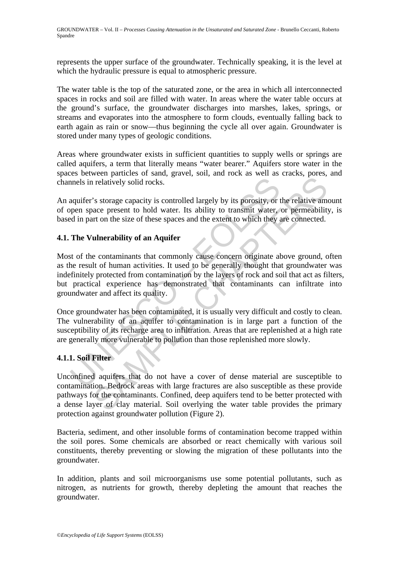represents the upper surface of the groundwater. Technically speaking, it is the level at which the hydraulic pressure is equal to atmospheric pressure.

The water table is the top of the saturated zone, or the area in which all interconnected spaces in rocks and soil are filled with water. In areas where the water table occurs at the ground's surface, the groundwater discharges into marshes, lakes, springs, or streams and evaporates into the atmosphere to form clouds, eventually falling back to earth again as rain or snow––thus beginning the cycle all over again. Groundwater is stored under many types of geologic conditions.

Areas where groundwater exists in sufficient quantities to supply wells or springs are called aquifers, a term that literally means "water bearer." Aquifers store water in the spaces between particles of sand, gravel, soil, and rock as well as cracks, pores, and channels in relatively solid rocks.

An aquifer's storage capacity is controlled largely by its porosity, or the relative amount of open space present to hold water. Its ability to transmit water, or permeability, is based in part on the size of these spaces and the extent to which they are connected.

## **4.1. The Vulnerability of an Aquifer**

nels in relatively solid rocks.<br>
aquifer's storage capacity is controlled largely by its porosity, or<br>
aquifer's storage capacity is controlled largely by its porosity, or<br>
ed in part on the size of these spaces and the ex The containing that some properties are also assembly the content<br>and the container of the product process is storage present to hold water. Its ability to transmit water, or permeability<br>and acce present to hold water. It Most of the contaminants that commonly cause concern originate above ground, often as the result of human activities. It used to be generally thought that groundwater was indefinitely protected from contamination by the layers of rock and soil that act as filters, but practical experience has demonstrated that contaminants can infiltrate into groundwater and affect its quality.

Once groundwater has been contaminated, it is usually very difficult and costly to clean. The vulnerability of an aquifer to contamination is in large part a function of the susceptibility of its recharge area to infiltration. Areas that are replenished at a high rate are generally more vulnerable to pollution than those replenished more slowly.

## **4.1.1. Soil Filter**

Unconfined aquifers that do not have a cover of dense material are susceptible to contamination. Bedrock areas with large fractures are also susceptible as these provide pathways for the contaminants. Confined, deep aquifers tend to be better protected with a dense layer of clay material. Soil overlying the water table provides the primary protection against groundwater pollution (Figure 2).

Bacteria, sediment, and other insoluble forms of contamination become trapped within the soil pores. Some chemicals are absorbed or react chemically with various soil constituents, thereby preventing or slowing the migration of these pollutants into the groundwater.

In addition, plants and soil microorganisms use some potential pollutants, such as nitrogen, as nutrients for growth, thereby depleting the amount that reaches the groundwater.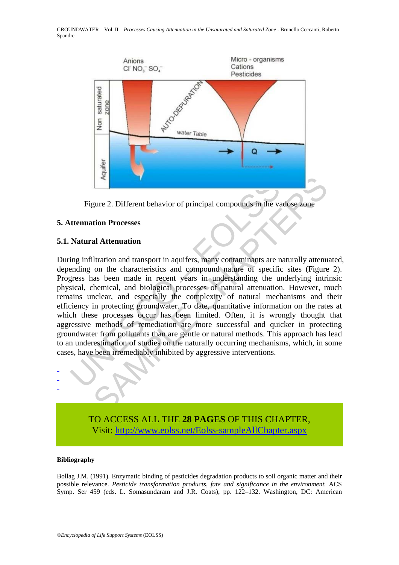



### **5. Attenuation Processes**

### **5.1. Natural Attenuation**

<sup>2</sup><br>
Figure 2. Different behavior of principal compounds in the value of<br> **Externation Processes**<br> **Natural Attenuation**<br>
Ing infiltration and transport in aquifers, many contaminants are meding on the characteristics and **Example 2.** Different behavior of principal compounds in the vadose zone<br> **Example 10.** Unitation and transport in aquifers, many contaminants are naturally attenu<br>
on the characteristics and compound nature of specific s During infiltration and transport in aquifers, many contaminants are naturally attenuated, depending on the characteristics and compound nature of specific sites (Figure 2). Progress has been made in recent years in understanding the underlying intrinsic physical, chemical, and biological processes of natural attenuation. However, much remains unclear, and especially the complexity of natural mechanisms and their efficiency in protecting groundwater. To date, quantitative information on the rates at which these processes occur has been limited. Often, it is wrongly thought that aggressive methods of remediation are more successful and quicker in protecting groundwater from pollutants than are gentle or natural methods. This approach has lead to an underestimation of studies on the naturally occurring mechanisms, which, in some cases, have been irremediably inhibited by aggressive interventions.



TO ACCESS ALL THE **28 PAGES** OF THIS CHAPTER, Visit[: http://www.eolss.net/Eolss-sampleAllChapter.aspx](https://www.eolss.net/ebooklib/sc_cart.aspx?File=E2-09-04-05)

#### **Bibliography**

Bollag J.M. (1991)*.* Enzymatic binding of pesticides degradation products to soil organic matter and their possible relevance. *Pesticide transformation products, fate and significance in the environment.* ACS Symp. Ser 459 (eds. L. Somasundaram and J.R. Coats), pp. 122–132. Washington, DC: American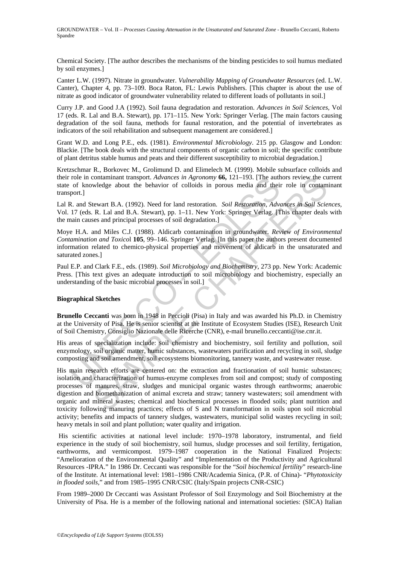Chemical Society. [The author describes the mechanisms of the binding pesticides to soil humus mediated by soil enzymes.]

Canter L.W. (1997). Nitrate in groundwater. *Vulnerability Mapping of Groundwater Resources* (ed. L.W. Canter), Chapter 4, pp. 73–109. Boca Raton, FL: Lewis Publishers. [This chapter is about the use of nitrate as good indicator of groundwater vulnerability related to different loads of pollutants in soil.]

Curry J.P. and Good J.A (1992). Soil fauna degradation and restoration. *Advances in Soil Sciences,* Vol 17 (eds. R. Lal and B.A. Stewart), pp. 171–115. New York: Springer Verlag. [The main factors causing degradation of the soil fauna, methods for faunal restoration, and the potential of invertebrates as indicators of the soil rehabilitation and subsequent management are considered.]

Grant W.D. and Long P.E., eds. (1981). *Environmental Microbiology*. 215 pp. Glasgow and London: Blackie. [The book deals with the structural components of organic carbon in soil; the specific contribute of plant detritus stable humus and peats and their different susceptibility to microbial degradation.]

Kretzschmar R., Borkovec M., Grolimund D. and Elimelech M. (1999). Mobile subsurface colloids and their role in contaminant transport. *Advances in Agronomy* **66,** 121–193. [The authors review the current state of knowledge about the behavior of colloids in porous media and their role in contaminant transport.]

Lal R. and Stewart B.A. (1992). Need for land restoration. *Soil Restoration, Advances in Soil Sciences,*  Vol. 17 (eds. R. Lal and B.A. Stewart), pp. 1–11. New York: Springer Verlag. [This chapter deals with the main causes and principal processes of soil degradation.]

role in contaminant transport. Advances in Agronomy **66**, 121–193. [The author of chowledge about the behavior of colloids in porous media and their port.]<br>
2. and Stewart B.A. (1992). Need for land restoration. *Soil Rest* Moye H.A. and Miles C.J. (1988). Aldicarb contamination in groundwater. *Review of Environmental Contamination and Toxico*l **105**, 99–146. Springer Verlag. [In this paper the authors present documented information related to chemico-physical properties and movement of aldicarb in the unsaturated and saturated zones.]

Paul E.P. and Clark F.E., eds. (1989). *Soil Microbiology and Biochemistry*, 273 pp. New York: Academic Press. [This text gives an adequate introduction to soil microbiology and biochemistry, especially an understanding of the basic microbial processes in soil.]

#### **Biographical Sketches**

**Brunello Ceccanti** was born in 1948 in Peccioli (Pisa) in Italy and was awarded his Ph.D. in Chemistry at the University of Pisa. He is senior scientist at the Institute of Ecosystem Studies (ISE), Research Unit of Soil Chemistry, Consiglio Nazionale delle Ricerche (CNR), e-mail brunello.ceccanti@ise.cnr.it.

His areas of specialization include: Soil chemistry and biochemistry, soil fertility and pollution, soil enzymology, soil organic matter, humic substances, wastewaters purification and recycling in soil, sludge composting and soil amendment, soil ecosystems biomonitoring, tannery waste, and wastewater reuse.

contaminant transport. *Advances in Agronomy* **66**, 121–193. [The authors review the curvedge about the behavior of colloids in porous media and their role in contam<br>tewart B.A. (1992). Need for land restoration. *Soil Re* His main research efforts are centered on: the extraction and fractionation of soil humic substances; isolation and characterization of humus-enzyme complexes from soil and compost; study of composting processes of manures, straw, sludges and municipal organic wastes through earthworms; anaerobic digestion and biomethanization of animal excreta and straw; tannery wastewaters; soil amendment with organic and mineral wastes; chemical and biochemical processes in flooded soils; plant nutrition and toxicity following manuring practices; effects of S and N transformation in soils upon soil microbial activity; benefits and impacts of tannery sludges, wastewaters, municipal solid wastes recycling in soil; heavy metals in soil and plant pollution; water quality and irrigation.

 His scientific activities at national level include: 1970–1978 laboratory, instrumental, and field experience in the study of soil biochemistry, soil humus, sludge processes and soil fertility, fertigation, earthworms, and vermicompost. 1979–1987 cooperation in the National Finalized Projects: "Amelioration of the Environmental Quality" and "Implementation of the Productivity and Agricultural Resources -IPRA." In 1986 Dr. Ceccanti was responsible for the "*Soil biochemical fertility*" research-line of the Institute*.* At international level: 1981–1986 CNR/Academia Sinica, (P.R. of China)- "*Phytotoxicity in flooded soils,*" and from 1985–1995 CNR/CSIC (Italy/Spain projects CNR-CSIC)

From 1989–2000 Dr Ceccanti was Assistant Professor of Soil Enzymology and Soil Biochemistry at the University of Pisa. He is a member of the following national and international societies: (SICA) Italian